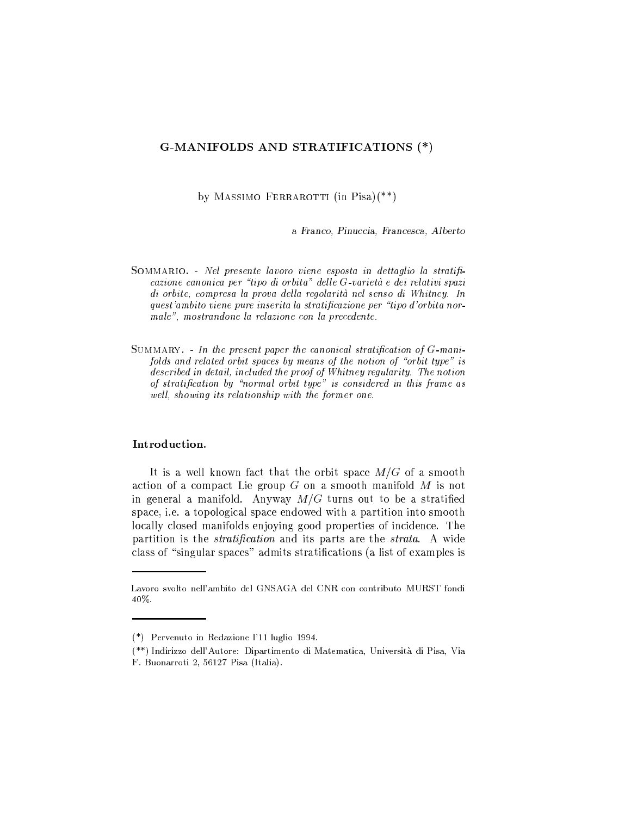# G-MANIFOLDS AND STRATIFICATIONS (\*)

by MASSIMO FERRAROTTI (in Pisa) $(**)$ 

a Franco, Pinuccia, Francesca, Alberto

- SOMMARIO. Nel presente lavoro viene esposta in dettaglio la stratificazione canonica per "tipo di orbita" delle G-varietà e dei relativi spazi di orbite, compresa la prova della regolarità nel senso di Whitney. In quest'ambito viene pure inserita la stratificazione per "tipo d'orbita normale", mostrandone la relazione con la precedente.
- SUMMARY. In the present paper the canonical stratification of  $G$ -manifolds and related orbit spaces by means of the notion of "orbit type" is described in detail, included the proof of Whitney regularity. The notion of stratification by "normal orbit type" is considered in this frame as well, showing its relationship with the former one.

## Introduction.

It is a well known fact that the orbit space  $M/G$  of a smooth action of a compact Lie group  $G$  on a smooth manifold  $M$  is not in general a manifold. Anyway  $M/G$  turns out to be a stratified space, i.e. a topological space endowed with a partition into smooth locally closed manifolds enjoying good properties of incidence. The partition is the *stratification* and its parts are the *strata*. A wide class of "singular spaces" admits stratifications (a list of examples is

Lavoro svolto nell'ambito del GNSAGA del CNR con contributo MURST fondi 40%.

<sup>(\*)</sup> Pervenuto in Redazione l'11 luglio 1994.

<sup>(\*\*)</sup> Indirizzo dell'Autore: Dipartimento di Matematica, Università di Pisa, Via F. Buonarroti 2, 56127 Pisa (Italia).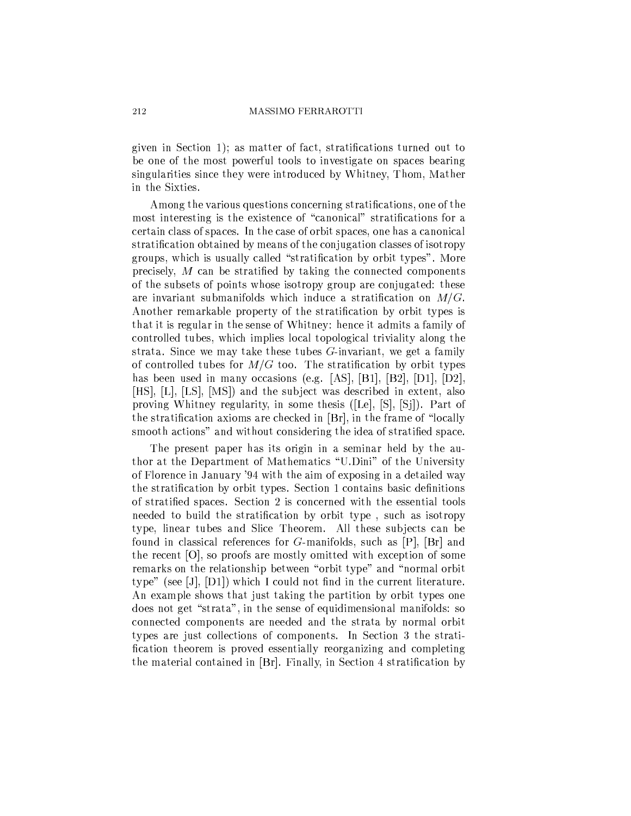given in Section 1); as matter of fact, stratifications turned out to be one of the most powerful tools to investigate on spaces bearing singularities since they were introduced by Whitney, Thom, Mather in the Sixties.

Among the various questions concerning stratifications, one of the most interesting is the existence of "canonical" stratifications for a certain class of spaces. In the case of orbit spaces, one has a canonical stratification obtained by means of the conjugation classes of isotropy groups, which is usually called "stratification by orbit types". More precisely,  $M$  can be stratified by taking the connected components of the subsets of points whose isotropy group are conjugated: these are invariant submanifolds which induce a stratification on  $M/G$ . Another remarkable property of the stratification by orbit types is that it is regular in the sense of Whitney: hence it admits a family of controlled tubes, which implies local topological triviality along the strata. Since we may take these tubes  $G$ -invariant, we get a family of controlled tubes for  $M/G$  too. The stratification by orbit types has been used in many occasions (e.g. [AS], [B1], [B2], [D1], [D2], [HS], [L], [LS], [MS]) and the subject was described in extent, also proving Whitney regularity, in some thesis ([Le], [S], [Si]). Part of the stratification axioms are checked in [Br], in the frame of "locally smooth actions" and without considering the idea of stratified space.

The present paper has its origin in a seminar held by the author at the Department of Mathematics "U.Dini" of the University of Florence in January '94 with the aim of exposing in a detailed way the stratification by orbit types. Section 1 contains basic definitions of stratified spaces. Section 2 is concerned with the essential tools needed to build the stratification by orbit type, such as isotropy type, linear tubes and Slice Theorem. All these subjects can be found in classical references for G-manifolds, such as  $[P]$ ,  $[Br]$  and the recent [O], so proofs are mostly omitted with exception of some remarks on the relationship between "orbit type" and "normal orbit type" (see [J],  $[D1]$ ) which I could not find in the current literature. An example shows that just taking the partition by orbit types one does not get "strata", in the sense of equidimensional manifolds: so connected components are needed and the strata by normal orbit types are just collections of components. In Section 3 the stratification theorem is proved essentially reorganizing and completing the material contained in [Br]. Finally, in Section 4 stratification by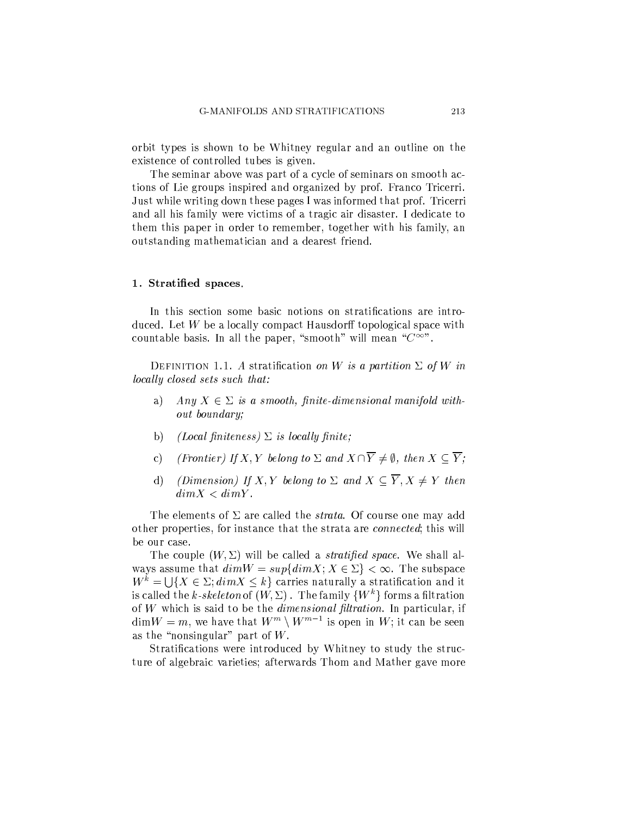orbit types is shown to be Whitney regular and an outline on the existence of controlled tubes is given.

The seminar above was part of a cycle of seminars on smooth actions of Lie groups inspired and organized by prof. Franco Tricerri. Just while writing down these pages I was informed that prof. Tricerri and all his family were victims of a tragic air disaster. I dedicate to them this paper in order to remember, together with his family, an outstanding mathematician and a dearest friend.

### 1. Stratified spaces.

In this section some basic notions on stratifications are introduced. Let W be a locally compact Hausdorff topological space with countable basis. In all the paper, "smooth" will mean " $C^{\infty}$ ".

DEFINITION 1.1. A stratification on W is a partition  $\Sigma$  of W in locally closed sets such that:

- $a)$ Any  $X \in \Sigma$  is a smooth, finite-dimensional manifold without boundary;
- $\mathbf{b}$ (Local finiteness)  $\Sigma$  is locally finite;
- (Frontier) If X, Y belong to  $\Sigma$  and  $X \cap \overline{Y} \neq \emptyset$ , then  $X \subseteq \overline{Y}$ ;  $\mathbf{c})$
- *(Dimension)* If X, Y belong to  $\Sigma$  and  $X \subseteq \overline{Y}$ ,  $X \neq Y$  then  $\mathrm{d}$  $dim X < dim Y$ .

The elements of  $\Sigma$  are called the *strata*. Of course one may add other properties, for instance that the strata are *connected*; this will be our case.

The couple  $(W, \Sigma)$  will be called a *stratified space*. We shall always assume that  $dim W = sup\{dim X: X \in \Sigma\} < \infty$ . The subspace  $W^k = \cup \{X \in \Sigma; dim X \leq k\}$  carries naturally a stratification and it is called the k-skeleton of  $(W, \Sigma)$ . The family  $\{W^k\}$  forms a filtration of  $W$  which is said to be the *dimensional filtration*. In particular, if  $\dim W = m$ , we have that  $W^m \setminus W^{m-1}$  is open in W; it can be seen as the "nonsingular" part of  $W$ .

Stratifications were introduced by Whitney to study the structure of algebraic varieties; afterwards Thom and Mather gave more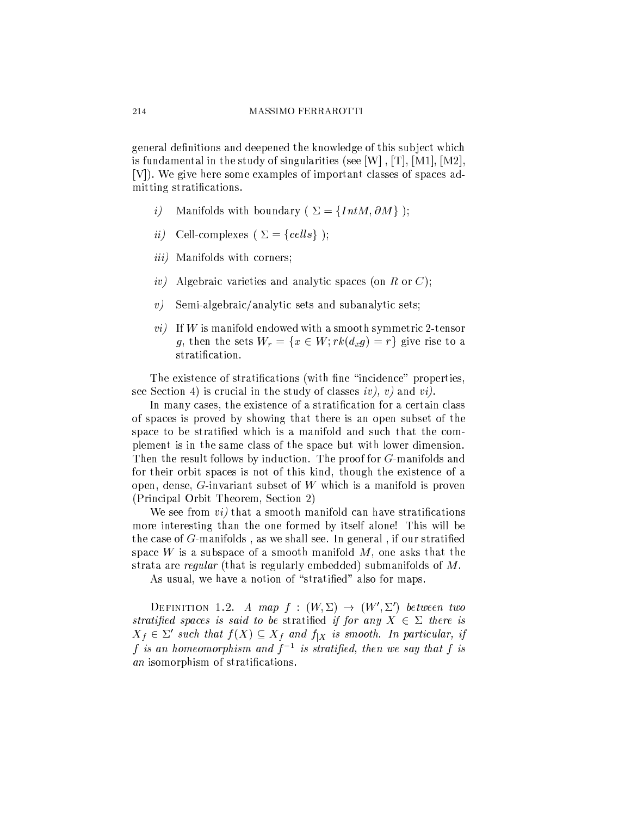general definitions and deepened the knowledge of this subject which is fundamental in the study of singularities (see [W],  $[T]$ , [M1], [M2], [V]). We give here some examples of important classes of spaces admitting stratifications.

- Manifolds with boundary ( $\Sigma = \{IntM, \partial M\}$ );  $\left(i\right)$
- Cell-complexes ( $\Sigma = \{cells\}$ );  $ii)$
- *iii*) Manifolds with corners;
- $\langle i\eta \rangle$ Algebraic varieties and analytic spaces (on R or C);
- Semi-algebraic/analytic sets and subanalytic sets;  $\left\langle v\right\rangle$
- $vi)$  If W is manifold endowed with a smooth symmetric 2-tensor g, then the sets  $W_r = \{x \in W; rk(d_x g) = r\}$  give rise to a stratification.

The existence of stratifications (with fine "incidence" properties, see Section 4) is crucial in the study of classes  $iv$ , v) and vi).

In many cases, the existence of a stratification for a certain class of spaces is proved by showing that there is an open subset of the space to be stratified which is a manifold and such that the complement is in the same class of the space but with lower dimension. Then the result follows by induction. The proof for G-manifolds and for their orbit spaces is not of this kind, though the existence of a open, dense,  $G$ -invariant subset of  $W$  which is a manifold is proven (Principal Orbit Theorem, Section 2)

We see from *vi*) that a smooth manifold can have stratifications more interesting than the one formed by itself alone! This will be the case of  $G$ -manifolds, as we shall see. In general, if our stratified space W is a subspace of a smooth manifold M, one asks that the strata are *regular* (that is regularly embedded) submanifolds of M.

As usual, we have a notion of "stratified" also for maps.

DEFINITION 1.2. A map  $f : (W, \Sigma) \rightarrow (W', \Sigma')$  between two stratified spaces is said to be stratified if for any  $X \in \Sigma$  there is  $X_f \in \Sigma'$  such that  $f(X) \subseteq X_f$  and  $f_{|X}$  is smooth. In particular, if f is an homeomorphism and  $f^{-1}$  is stratified, then we say that f is an isomorphism of stratifications.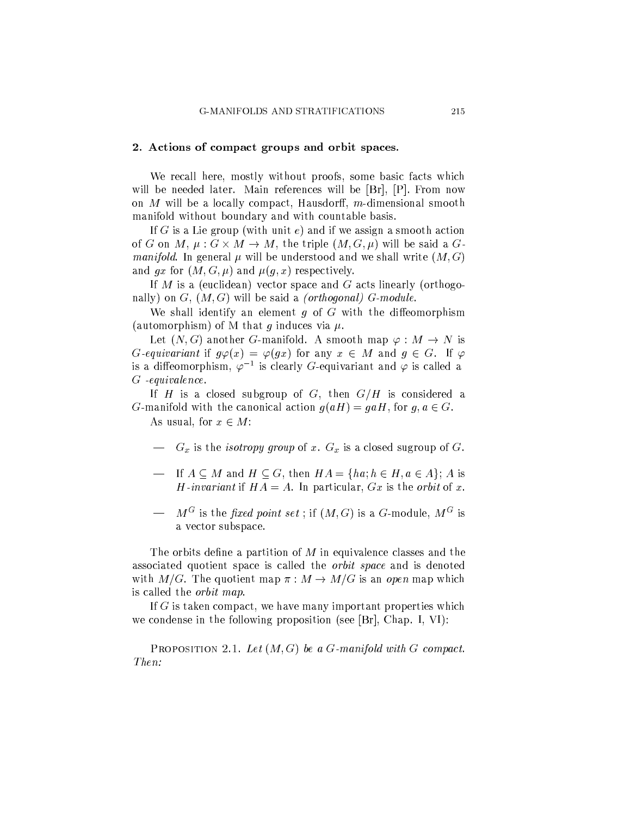## 2. Actions of compact groups and orbit spaces.

We recall here, mostly without proofs, some basic facts which will be needed later. Main references will be [Br], [P]. From now on M will be a locally compact, Hausdorff, m-dimensional smooth manifold without boundary and with countable basis.

If G is a Lie group (with unit e) and if we assign a smooth action of G on M,  $\mu: G \times M \to M$ , the triple  $(M, G, \mu)$  will be said a G. *manifold*. In general  $\mu$  will be understood and we shall write  $(M, G)$ and gx for  $(M, G, \mu)$  and  $\mu(g, x)$  respectively.

If M is a (euclidean) vector space and G acts linearly (orthogonally) on  $G$ ,  $(M, G)$  will be said a *(orthogonal)*  $G$ -module.

We shall identify an element  $q$  of  $G$  with the diffeomorphism (automorphism) of M that g induces via  $\mu$ .

Let  $(N, G)$  another G-manifold. A smooth map  $\varphi : M \to N$  is G-equivariant if  $g\varphi(x) = \varphi(gx)$  for any  $x \in M$  and  $g \in G$ . If  $\varphi$ is a diffeomorphism,  $\varphi^{-1}$  is clearly G-equivariant and  $\varphi$  is called a  $G$  -equivalence.

If H is a closed subgroup of G, then  $G/H$  is considered a *G*-manifold with the canonical action  $g(aH) = gaH$ , for  $g, a \in G$ . As usual, for  $x \in M$ :

- $-G_x$  is the *isotropy group* of x.  $G_x$  is a closed sugroup of G.
- $-$  If  $A \subseteq M$  and  $H \subseteq G$ , then  $HA = \{ha, h \in H, a \in A\}$ ; A is *H*-invariant if  $HA = A$ . In particular,  $Gx$  is the *orbit* of x.
- $M^G$  is the fixed point set : if  $(M, G)$  is a G-module.  $M^G$  is a vector subspace.

The orbits define a partition of M in equivalence classes and the associated quotient space is called the *orbit space* and is denoted with  $M/G$ . The quotient map  $\pi : M \to M/G$  is an open map which is called the *orbit map*.

If  $G$  is taken compact, we have many important properties which we condense in the following proposition (see [Br], Chap. I, VI):

**PROPOSITION** 2.1. Let  $(M, G)$  be a G-manifold with G compact. Then: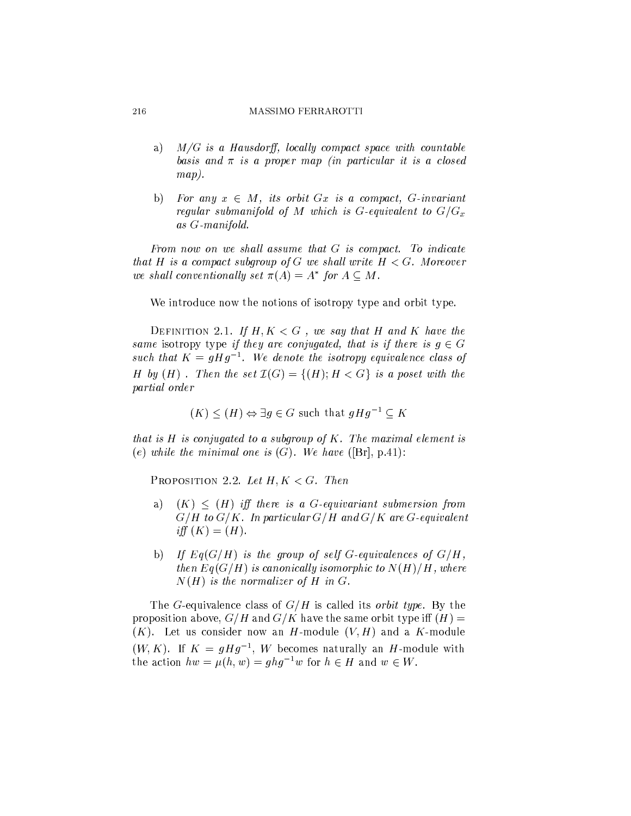- $M/G$  is a Hausdorff, locally compact space with countable a) basis and  $\pi$  is a proper map (in particular it is a closed  $map).$
- For any  $x \in M$ , its orbit  $Gx$  is a compact, G-invariant  $\mathbf{b}$ regular submanifold of M which is G-equivalent to  $G/G_x$  $as G-manifold.$

From now on we shall assume that G is compact. To indicate that H is a compact subgroup of G we shall write  $H < G$ . Moreover we shall conventionally set  $\pi(A) = A^*$  for  $A \subseteq M$ .

We introduce now the notions of isotropy type and orbit type.

DEFINITION 2.1. If  $H, K < G$ , we say that H and K have the same isotropy type if they are conjugated, that is if there is  $g \in G$ such that  $K = qHq^{-1}$ . We denote the isotropy equivalence class of H by  $(H)$ . Then the set  $\mathcal{I}(G) = \{(H); H < G\}$  is a poset with the *partial order* 

$$
(K) \leq (H) \Leftrightarrow \exists g \in G \text{ such that } gHg^{-1} \subseteq K
$$

that is  $H$  is conjugated to a subgroup of  $K$ . The maximal element is (e) while the minimal one is  $(G)$ . We have ([Br], p.41):

PROPOSITION 2.2. Let  $H, K < G$ . Then

- $(K) \leq (H)$  iff there is a G-equivariant submersion from a)  $G/H$  to  $G/K$ . In particular  $G/H$  and  $G/K$  are  $G$ -equivalent iff  $(K) = (H)$ .
- If  $Eq(G/H)$  is the group of self G-equivalences of  $G/H$ ,  $b)$ then  $Eq(G/H)$  is canonically isomorphic to  $N(H)/H$ , where  $N(H)$  is the normalizer of H in G.

The G-equivalence class of  $G/H$  is called its *orbit type*. By the proposition above,  $G/H$  and  $G/K$  have the same orbit type iff  $(H)$  =  $(K)$ . Let us consider now an H-module  $(V, H)$  and a K-module  $(W, K)$ . If  $K = qHq^{-1}$ , W becomes naturally an H-module with the action  $hw = \mu(h, w) = q h q^{-1} w$  for  $h \in H$  and  $w \in W$ .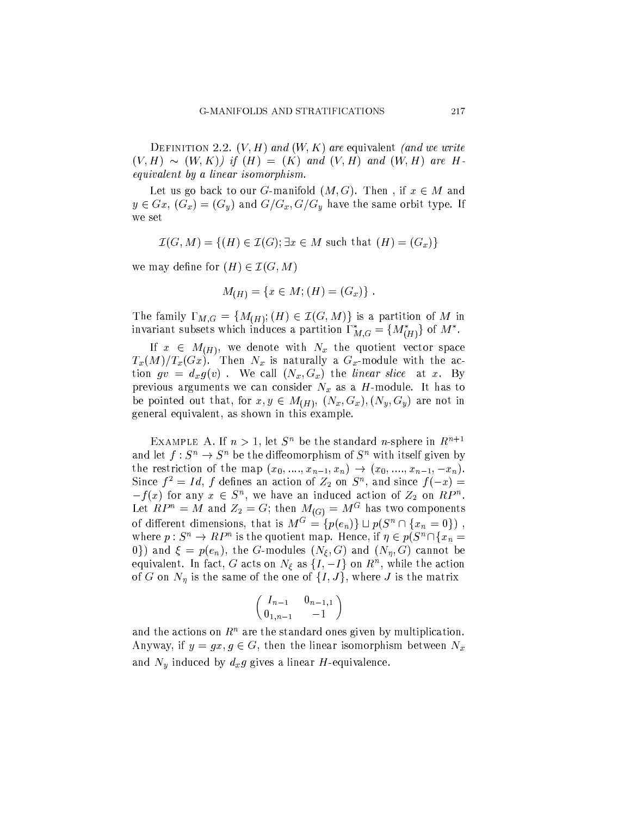DEFINITION 2.2.  $(V, H)$  and  $(W, K)$  are equivalent (and we write  $(V, H) \sim (W, K)$  if  $(H) = (K)$  and  $(V, H)$  and  $(W, H)$  are Hequivalent by a linear isomorphism.

Let us go back to our *G*-manifold  $(M, G)$ . Then, if  $x \in M$  and  $y \in Gx$ ,  $(G_x) = (G_y)$  and  $G/G_x$ ,  $G/G_y$  have the same orbit type. If we set

$$
\mathcal{I}(G,M) = \{(H) \in \mathcal{I}(G); \exists x \in M \text{ such that } (H) = (G_x)\}\
$$

we may define for  $(H) \in \mathcal{I}(G, M)$ 

$$
M_{(H)} = \{ x \in M; (H) = (G_x) \}
$$

The family  $\Gamma_{M,G} = \{M_{(H)}; (H) \in \mathcal{I}(G,M)\}\$ is a partition of M in invariant subsets which induces a partition  $\Gamma_{M,G}^* = \{M_{(H)}^*\}$  of  $M^*$ .

If  $x \in M_{(H)}$ , we denote with  $N_x$  the quotient vector space  $T_x(M)/T_x(Gx)$ . Then  $N_x$  is naturally a  $G_x$ -module with the action  $gv = d_xg(v)$ . We call  $(N_x, G_x)$  the linear slice at x. By previous arguments we can consider  $N_x$  as a H-module. It has to be pointed out that, for  $x, y \in M_{(H)}$ ,  $(N_x, G_x)$ ,  $(N_y, G_y)$  are not in general equivalent, as shown in this example.

EXAMPLE A. If  $n > 1$ , let  $S<sup>n</sup>$  be the standard *n*-sphere in  $R^{n+1}$ and let  $f: S^n \to S^n$  be the diffeomorphism of  $S^n$  with itself given by the restriction of the map  $(x_0, ..., x_{n-1}, x_n) \to (x_0, ..., x_{n-1}, -x_n)$ . Since  $f^2 = Id$ , f defines an action of  $Z_2$  on  $S^n$ , and since  $f(-x) =$  $-f(x)$  for any  $x \in S^n$ , we have an induced action of  $Z_2$  on  $RP^n$ . Let  $RP^n = M$  and  $Z_2 = G$ ; then  $M_{(G)} = M^G$  has two components of different dimensions, that is  $M^G = \{p(e_n)\} \sqcup p(S^n \cap \{x_n = 0\})$ , where  $p: S^n \to RP^n$  is the quotient map. Hence, if  $\eta \in p(S^n \cap \{x_n =$ 0) and  $\xi = p(e_n)$ , the G-modules  $(N_\xi, G)$  and  $(N_\eta, G)$  cannot be equivalent. In fact, G acts on  $N_{\xi}$  as  $\{I, -I\}$  on  $R^{n}$ , while the action of G on  $N_{\eta}$  is the same of the one of  $\{I, J\}$ , where J is the matrix

$$
\left(\begin{array}{cc}I_{n-1}&0_{n-1,1}\\0_{1,n-1}&-1\end{array}\right)
$$

and the actions on  $R^n$  are the standard ones given by multiplication. Anyway, if  $y = gx, g \in G$ , then the linear isomorphism between  $N_x$ and  $N_y$  induced by  $d_x g$  gives a linear H-equivalence.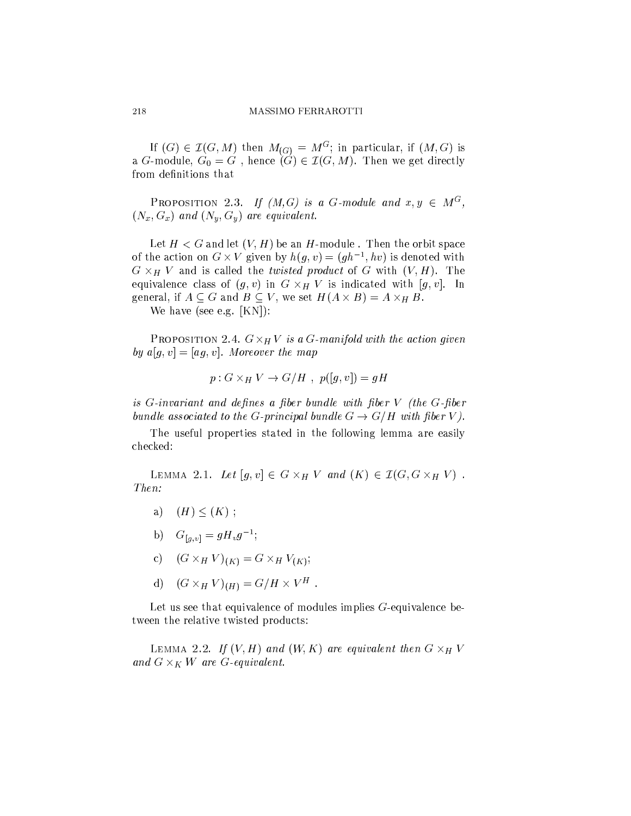If  $(G) \in \mathcal{I}(G, M)$  then  $M_{(G)} = M^G$ ; in particular, if  $(M, G)$  is a G-module,  $G_0 = G$ , hence  $(G) \in \mathcal{I}(G, M)$ . Then we get directly from definitions that

**PROPOSITION** 2.3. If  $(M, G)$  is a G-module and  $x, y \in M^G$ ,  $(N_x, G_x)$  and  $(N_y, G_y)$  are equivalent.

Let  $H < G$  and let  $(V, H)$  be an H-module. Then the orbit space of the action on  $G \times V$  given by  $h(q, v) = (gh^{-1}, hv)$  is denoted with  $G \times_H V$  and is called the *twisted product* of G with  $(V, H)$ . The equivalence class of  $(g, v)$  in  $G \times_H V$  is indicated with  $[g, v]$ . In general, if  $A \subseteq G$  and  $B \subseteq V$ , we set  $H(A \times B) = A \times_H B$ .

We have (see e.g.  $[KN]$ ):

PROPOSITION 2.4.  $G \times_H V$  is a G-manifold with the action given by  $a[g, v] = [ag, v]$ . Moreover the map

$$
p: G \times_H V \to G/H , p([g, v]) = gH
$$

is  $G$ -invariant and defines a fiber bundle with fiber  $V$  (the  $G$ -fiber bundle associated to the G-principal bundle  $G \rightarrow G/H$  with fiber V).

The useful properties stated in the following lemma are easily checked:

LEMMA 2.1. Let  $[g, v] \in G \times_H V$  and  $(K) \in \mathcal{I}(G, G \times_H V)$ . Then:

- a)  $(H) < (K)$ ;
- b)  $G_{[q,v]} = gH_v g^{-1};$
- c)  $(G \times_H V)_{(K)} = G \times_H V_{(K)};$
- d)  $(G \times_H V)_{(H)} = G/H \times V^H$ .

Let us see that equivalence of modules implies  $G$ -equivalence between the relative twisted products:

LEMMA 2.2. If  $(V, H)$  and  $(W, K)$  are equivalent then  $G \times_H V$ and  $G \times_K W$  are G-equivalent.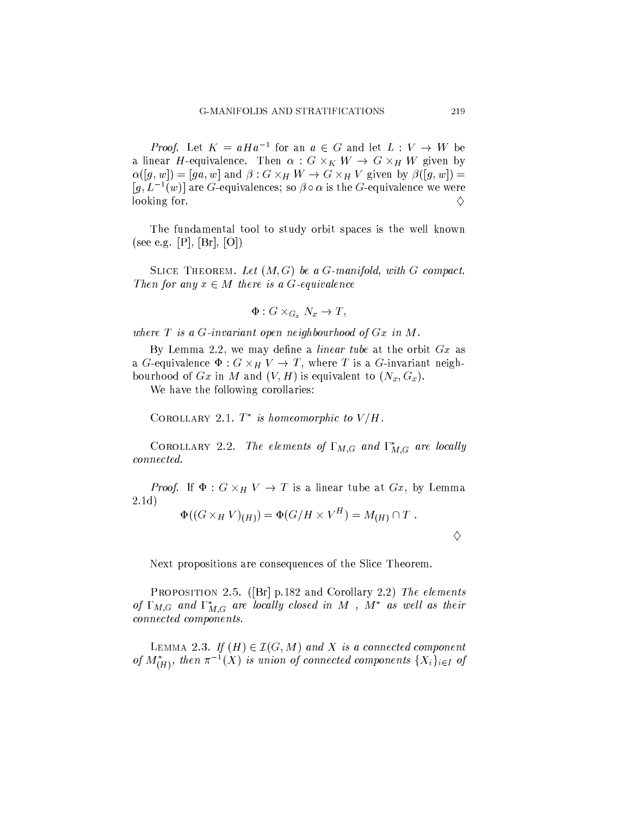*Proof.* Let  $K = aHa^{-1}$  for an  $a \in G$  and let  $L: V \to W$  be a linear *H*-equivalence. Then  $\alpha$  :  $G \times_K W \to G \times_H W$  given by  $\alpha([g, w]) = [ga, w]$  and  $\beta: G \times_H W \to G \times_H V$  given by  $\beta([g, w]) =$  $[g, L^{-1}(w)]$  are G-equivalences; so  $\beta \circ \alpha$  is the G-equivalence we were looking for. ♦

The fundamental tool to study orbit spaces is the well known (see e.g. [P], [Br], [O])

SLICE THEOREM. Let  $(M, G)$  be a G-manifold, with G compact. Then for any  $x \in M$  there is a G-equivalence

$$
\Phi: G \times_{G_x} N_x \to T,
$$

where  $T$  is a  $G$ -invariant open neighbourhood of  $Gx$  in  $M$ .

By Lemma 2.2, we may define a *linear tube* at the orbit  $Gx$  as a G-equivalence  $\Phi: G \times_H V \to T$ , where T is a G-invariant neighbourhood of  $Gx$  in M and  $(V, H)$  is equivalent to  $(N_x, G_x)$ .

We have the following corollaries:

COROLLARY 2.1.  $T^*$  is homeomorphic to  $V/H$ .

COROLLARY 2.2. The elements of  $\Gamma_{M,G}$  and  $\Gamma_{M,G}^*$  are locally connected.

*Proof.* If  $\Phi: G \times_H V \to T$  is a linear tube at  $Gx$ , by Lemma  $2.1d)$ 

$$
\Phi((G\times_H V)_{(H)})=\Phi(G/H\times V^H)=M_{(H)}\cap T.
$$

Next propositions are consequences of the Slice Theorem.

PROPOSITION 2.5. ( $[Br]$  p.182 and Corollary 2.2) The elements of  $\Gamma_{M,G}$  and  $\Gamma_{M,G}^*$  are locally closed in M,  $M^*$  as well as their connected components.

LEMMA 2.3. If  $(H) \in \mathcal{I}(G, M)$  and X is a connected component of  $M^*_{(H)}$ , then  $\pi^{-1}(X)$  is union of connected components  $\{X_i\}_{i\in I}$  of

♦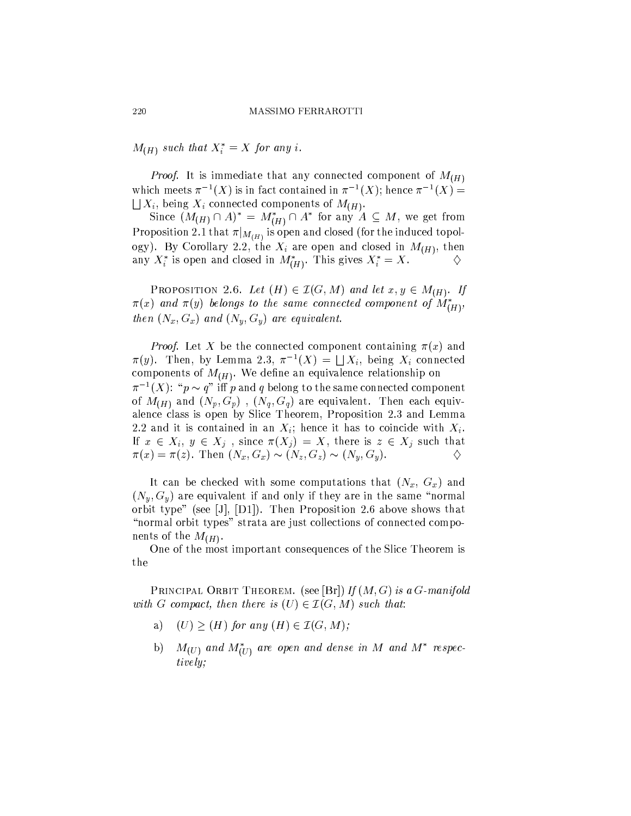$M_{(H)}$  such that  $X_i^* = X$  for any i.

*Proof.* It is immediate that any connected component of  $M_{(H)}$ which meets  $\pi^{-1}(X)$  is in fact contained in  $\pi^{-1}(X)$ ; hence  $\pi^{-1}(X)$  =  $\bigcup X_i$ , being  $X_i$  connected components of  $M_{(H)}$ .

Since  $(M_{(H)} \cap A)^* = M_{(H)}^* \cap A^*$  for any  $A \subseteq M$ , we get from Proposition 2.1 that  $\pi|_{M(H)}$  is open and closed (for the induced topology). By Corollary 2.2, the  $X_i$  are open and closed in  $M_{(H)}$ , then any  $X_i^*$  is open and closed in  $M_{(H)}^*$ . This gives  $X_i^* = X$ . ♦

**PROPOSITION** 2.6. Let  $(H) \in \mathcal{I}(G, M)$  and let  $x, y \in M_{(H)}$ . If  $\pi(x)$  and  $\pi(y)$  belongs to the same connected component of  $M^*_{(H)}$ , then  $(N_x, G_x)$  and  $(N_y, G_y)$  are equivalent.

*Proof.* Let X be the connected component containing  $\pi(x)$  and  $\pi(y)$ . Then, by Lemma 2.3,  $\pi^{-1}(X) = \bigsqcup X_i$ , being  $X_i$  connected components of  $M_{(H)}$ . We define an equivalence relationship on  $\pi^{-1}(X)$ : " $p \sim q$ " iff p and q belong to the same connected component of  $M_{(H)}$  and  $(N_p, G_p)$ ,  $(N_q, G_q)$  are equivalent. Then each equivalence class is open by Slice Theorem, Proposition 2.3 and Lemma 2.2 and it is contained in an  $X_i$ ; hence it has to coincide with  $X_i$ . If  $x \in X_i$ ,  $y \in X_j$ , since  $\pi(X_j) = X$ , there is  $z \in X_j$  such that  $\pi(x) = \pi(z)$ . Then  $(N_x, G_x) \sim (N_z, G_z) \sim (N_y, G_y)$ . ♦

It can be checked with some computations that  $(N_x, G_x)$  and  $(N_y, G_y)$  are equivalent if and only if they are in the same "normal" orbit type" (see [J], [D1]). Then Proposition 2.6 above shows that "normal orbit types" strata are just collections of connected components of the  $M_{(H)}$ .

One of the most important consequences of the Slice Theorem is the

PRINCIPAL ORBIT THEOREM. (see [Br]) If  $(M, G)$  is a G-manifold with G compact, then there is  $(U) \in \mathcal{I}(G, M)$  such that:

- $(U)$  >  $(H)$  for any  $(H) \in \mathcal{I}(G, M)$ ; a)
- b)  $M_{(U)}$  and  $M_{(U)}^*$  are open and dense in M and  $M^*$  respectively;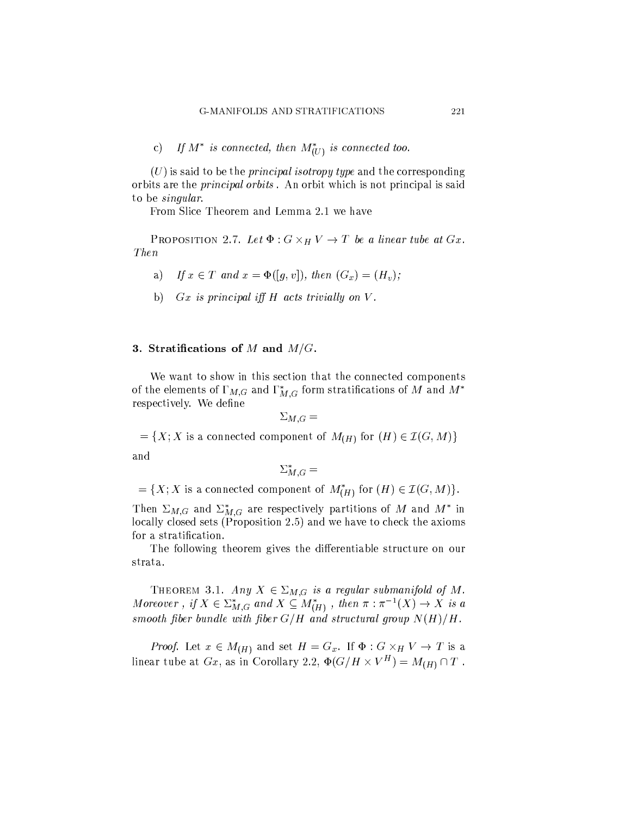c) If  $M^*$  is connected, then  $M^*_{(U)}$  is connected too.

 $(U)$  is said to be the *principal isotropy type* and the corresponding orbits are the *principal orbits*. An orbit which is not principal is said to be *singular*.

From Slice Theorem and Lemma 2.1 we have

PROPOSITION 2.7. Let  $\Phi: G \times_H V \to T$  be a linear tube at  $Gx$ .  $Then$ 

- If  $x \in T$  and  $x = \Phi([q, v])$ , then  $(G_x) = (H_v)$ ; a)
- b)  $Gx$  is principal iff  $H$  acts trivially on  $V$ .

### 3. Stratifications of  $M$  and  $M/G$ .

We want to show in this section that the connected components of the elements of  $\Gamma_{M,G}$  and  $\Gamma_{M,G}^*$  form stratifications of M and  $M^*$ respectively. We define

$$
\Sigma_{M,G} =
$$

 $=\{X; X \text{ is a connected component of } M_{(H)} \text{ for } (H) \in \mathcal{I}(G, M)\}\$ 

and

$$
\Sigma_{M,G}^* =
$$

 $=\{X; X \text{ is a connected component of } M_{(H)}^* \text{ for } (H) \in \mathcal{I}(G, M)\}.$ 

Then  $\Sigma_{M,G}$  and  $\Sigma_{M,G}^*$  are respectively partitions of M and  $M^*$  in locally closed sets (Proposition 2.5) and we have to check the axioms for a stratification.

The following theorem gives the differentiable structure on our strata.

THEOREM 3.1. Any  $X \in \Sigma_{M,G}$  is a regular submanifold of M. Moreover, if  $X \in \Sigma_{M,G}^*$  and  $X \subseteq M_{(H)}^*$ , then  $\pi : \pi^{-1}(X) \to X$  is a smooth fiber bundle with fiber  $G/H$  and structural group  $N(H)/H$ .

*Proof.* Let  $x \in M_{(H)}$  and set  $H = G_x$ . If  $\Phi : G \times_H V \to T$  is a linear tube at Gx, as in Corollary 2.2,  $\Phi(G/H \times V^H) = M_{(H)} \cap T$ .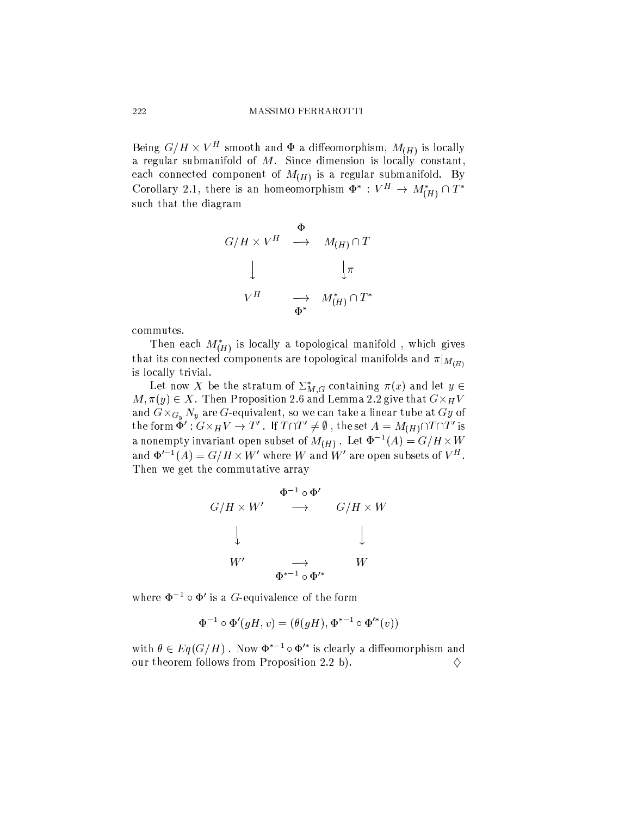Being  $G/H \times V^H$  smooth and  $\Phi$  a diffeomorphism,  $M_{(H)}$  is locally a regular submanifold of  $M$ . Since dimension is locally constant, each connected component of  $M_{(H)}$  is a regular submanifold. By Corollary 2.1, there is an homeomorphism  $\Phi^*: V^H \to M_{(H)}^* \cap T^*$ such that the diagram

$$
G/H \times V^H \quad \longrightarrow \quad M_{(H)} \cap T
$$
  

$$
\downarrow \qquad \qquad \downarrow \pi
$$
  

$$
V^H \qquad \longrightarrow \quad M^*_{(H)} \cap T^*
$$

commutes.

Then each  $M_{(H)}^*$  is locally a topological manifold, which gives that its connected components are topological manifolds and  $\pi|_{M_{(H)}}$ is locally trivial.

Let now X be the stratum of  $\sum_{M,G}^*$  containing  $\pi(x)$  and let  $y \in$  $M, \pi(y) \in X$ . Then Proposition 2.6 and Lemma 2.2 give that  $G \times_H V$ and  $G \times_{G_y} N_y$  are G-equivalent, so we can take a linear tube at Gy of the form  $\check{\Phi}'$  :  $G \times_H V \to T'$ . If  $T \cap T' \neq \emptyset$ , the set  $A = M_{(H)} \cap T \cap T'$  is a nonempty invariant open subset of  $M_{(H)}$ . Let  $\Phi^{-1}(A) = G/H \times W$ and  $\Phi'^{-1}(A) = G/H \times W'$  where W and W' are open subsets of  $V^H$ . Then we get the commutative array

$$
G/H \times W' \longrightarrow \begin{array}{c} \Phi^{-1} \circ \Phi' \\ \longrightarrow \\ G/H \times W \\ \downarrow \\ W' \\ \Phi^{*-1} \circ \Phi'^* \end{array}
$$

where  $\Phi^{-1} \circ \Phi'$  is a G-equivalence of the form

$$
\Phi^{-1} \circ \Phi'(gH, v) = (\theta(gH), \Phi^{*-1} \circ \Phi'^*(v))
$$

with  $\theta \in Eq(G/H)$ . Now  $\Phi^{*-1} \circ \Phi'^*$  is clearly a diffeomorphism and our theorem follows from Proposition 2.2 b). ♦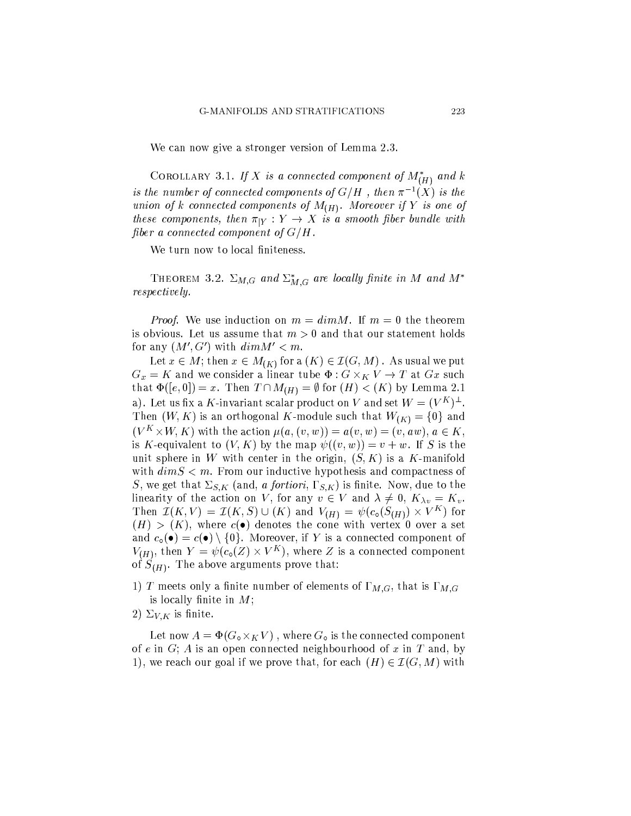We can now give a stronger version of Lemma 2.3.

COROLLARY 3.1. If X is a connected component of  $M^*_{(H)}$  and k is the number of connected components of  $G/H$ , then  $\pi^{-1}(X)$  is the union of k connected components of  $M_{(H)}$ . Moreover if Y is one of these components, then  $\pi|_Y : Y \to X$  is a smooth fiber bundle with fiber a connected component of  $G/H$ .

We turn now to local finiteness.

THEOREM 3.2.  $\Sigma_{M,G}$  and  $\Sigma_{M,G}^*$  are locally finite in M and  $M^*$ *respectively.* 

*Proof.* We use induction on  $m = dim M$ . If  $m = 0$  the theorem is obvious. Let us assume that  $m > 0$  and that our statement holds for any  $(M', G')$  with  $dim M' < m$ .

Let  $x \in M$ ; then  $x \in M_{(K)}$  for a  $(K) \in \mathcal{I}(G,M)$  . As usual we put  $G_x = K$  and we consider a linear tube  $\Phi: G \times_K V \to T$  at  $Gx$  such that  $\Phi([e, 0]) = x$ . Then  $T \cap M_{(H)} = \emptyset$  for  $(H) < (K)$  by Lemma 2.1 a). Let us fix a K-invariant scalar product on V and set  $W = (V^K)^{\perp}$ . Then  $(W, K)$  is an orthogonal K-module such that  $W_{(K)} = \{0\}$  and  $(V^K \times W, K)$  with the action  $\mu(a, (v, w)) = a(v, w) = (v, aw), a \in K$ , is K-equivalent to  $(V, K)$  by the map  $\psi((v, w)) = v + w$ . If S is the unit sphere in W with center in the origin,  $(S, K)$  is a K-manifold with  $dim S < m$ . From our inductive hypothesis and compactness of S, we get that  $\Sigma_{S,K}$  (and, a fortiori,  $\Gamma_{S,K}$ ) is finite. Now, due to the linearity of the action on V, for any  $v \in V$  and  $\lambda \neq 0$ ,  $K_{\lambda v} = K_v$ . Then  $\mathcal{I}(K,V) = \mathcal{I}(K,S) \cup (K)$  and  $V_{(H)} = \psi(c_{\mathfrak{0}}(S_{(H)}) \times V^{K})$  for  $(H) > (K)$ , where  $c(\bullet)$  denotes the cone with vertex 0 over a set and  $c_{\circ}(\bullet) = c(\bullet) \setminus \{0\}$ . Moreover, if Y is a connected component of  $V_{(H)}$ , then  $Y = \psi(c_0(Z) \times V^K)$ , where Z is a connected component of  $S_{(H)}$ . The above arguments prove that:

- 1) T meets only a finite number of elements of  $\Gamma_{M,G}$ , that is  $\Gamma_{M,G}$ is locally finite in  $M$ ;
- 2)  $\Sigma_{V,K}$  is finite.

Let now  $A = \Phi(G_{\circ} \times_K V)$ , where  $G_{\circ}$  is the connected component of e in G; A is an open connected neighbourhood of x in T and, by 1), we reach our goal if we prove that, for each  $(H) \in \mathcal{I}(G, M)$  with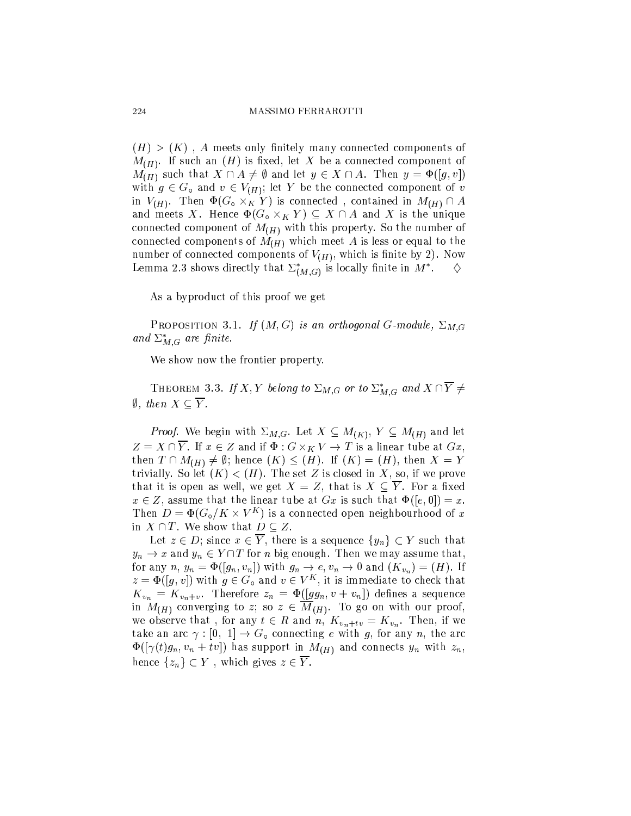$(H)$  >  $(K)$ , A meets only finitely many connected components of  $M_{(H)}$ . If such an  $(H)$  is fixed, let X be a connected component of  $M_{(H)}$  such that  $X \cap A \neq \emptyset$  and let  $y \in X \cap A$ . Then  $y = \Phi([g, v])$ with  $g \in G_0$  and  $v \in V_{(H)}$ ; let Y be the connected component of v in  $V_{(H)}$ . Then  $\Phi(G_{\circ} \times_K Y)$  is connected, contained in  $M_{(H)} \cap A$ and meets X. Hence  $\Phi(G_{\circ} \times_K Y) \subseteq X \cap A$  and X is the unique connected component of  $M_{(H)}$  with this property. So the number of connected components of  $M_{(H)}$  which meet A is less or equal to the number of connected components of  $V_{(H)}$ , which is finite by 2). Now Lemma 2.3 shows directly that  $\Sigma^*_{(M,G)}$  is locally finite in  $M^*$ . ♦

As a byproduct of this proof we get

**PROPOSITION 3.1.** If  $(M, G)$  is an orthogonal G-module,  $\Sigma_{M, G}$ and  $\Sigma_{M,G}^*$  are finite.

We show now the frontier property.

THEOREM 3.3. If X, Y belong to  $\Sigma_{M,G}$  or to  $\Sigma_{M,G}^*$  and  $X \cap \overline{Y} \neq Y$  $\emptyset$ , then  $X \subseteq \overline{Y}$ .

*Proof.* We begin with  $\Sigma_{M,G}$ . Let  $X \subseteq M_{(K)}$ ,  $Y \subseteq M_{(H)}$  and let  $Z = X \cap \overline{Y}$ . If  $x \in Z$  and if  $\Phi: G \times_K V \to T$  is a linear tube at  $Gx$ , then  $T \cap M_{(H)} \neq \emptyset$ ; hence  $(K) \leq (H)$ . If  $(K) = (H)$ , then  $X = Y$ trivially. So let  $(K) < (H)$ . The set Z is closed in X, so, if we prove that it is open as well, we get  $X = Z$ , that is  $X \subseteq \overline{Y}$ . For a fixed  $x \in Z$ , assume that the linear tube at Gx is such that  $\Phi([e, 0]) = x$ . Then  $D = \Phi(G_{\circ}/K \times V^K)$  is a connected open neighbourhood of x in  $X \cap T$ . We show that  $D \subseteq Z$ .

Let  $z \in D$ ; since  $x \in \overline{Y}$ , there is a sequence  $\{y_n\} \subset Y$  such that  $y_n \to x$  and  $y_n \in Y \cap T$  for *n* big enough. Then we may assume that, for any n,  $y_n = \Phi([g_n, v_n])$  with  $g_n \to e, v_n \to 0$  and  $(K_{v_n}) = (H)$ . If  $z = \Phi([q, v])$  with  $g \in G_0$  and  $v \in V^K$ , it is immediate to check that  $K_{v_n} = K_{v_n+v}$ . Therefore  $z_n = \Phi([gg_n, v + v_n])$  defines a sequence in  $M_{(H)}$  converging to z; so  $z \in \overline{M}_{(H)}$ . To go on with our proof, we observe that, for any  $t \in R$  and n,  $K_{v_n+tv} = K_{v_n}$ . Then, if we take an arc  $\gamma : [0, 1] \to G_0$  connecting e with g, for any n, the arc  $\Phi([\gamma(t)g_n, v_n + tv])$  has support in  $M_{(H)}$  and connects  $y_n$  with  $z_n$ , hence  $\{z_n\} \subset Y$ , which gives  $z \in \overline{Y}$ .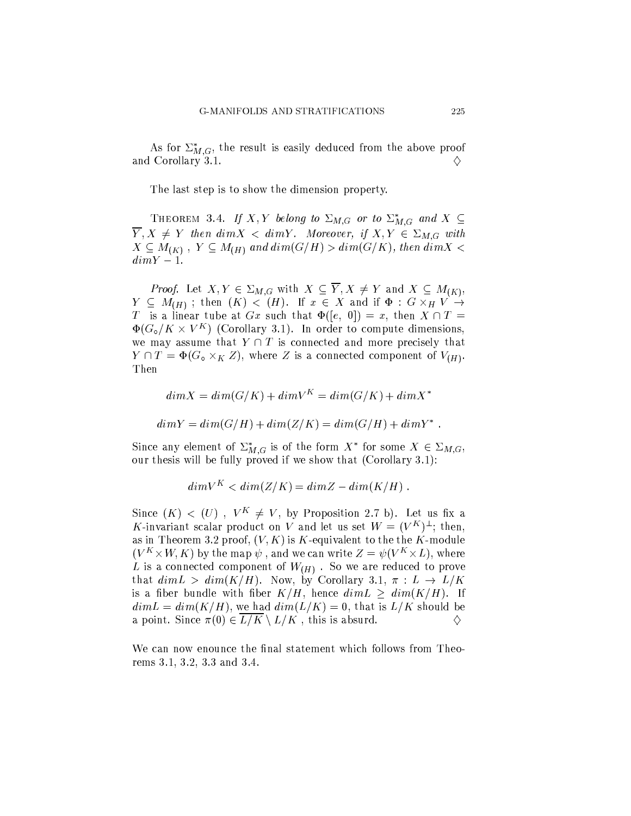As for  $\Sigma_{M,G}^*$ , the result is easily deduced from the above proof and Corollary 3.1.

The last step is to show the dimension property.

THEOREM 3.4. If X, Y belong to  $\Sigma_{M,G}$  or to  $\Sigma_{M,G}^*$  and  $X \subseteq$  $\overline{Y}, X \neq Y$  then  $dim X < dim Y$ . Moreover, if  $X, Y \in \Sigma_{M,G}$  with  $X \subseteq M_{(K)}$ ,  $Y \subseteq M_{(H)}$  and  $dim(G/H) > dim(G/K)$ , then  $dim X <$  $dim Y - 1.$ 

*Proof.* Let  $X, Y \in \Sigma_{M,G}$  with  $X \subseteq \overline{Y}, X \neq Y$  and  $X \subseteq M_{(K)}$ ,  $Y \subseteq M_{(H)}$ ; then  $(K) < (H)$ . If  $x \in X$  and if  $\Phi : G \times_H V \rightarrow$ T is a linear tube at  $Gx$  such that  $\Phi([e, 0]) = x$ , then  $X \cap T =$  $\Phi(G_{\circ}/K \times V^K)$  (Corollary 3.1). In order to compute dimensions, we may assume that  $Y \cap T$  is connected and more precisely that  $Y \cap T = \Phi(G_{o} \times_{K} Z)$ , where Z is a connected component of  $V(H)$ . Then

$$
dim X = dim(G/K) + dimV^K = dim(G/K) + dimX^*
$$

$$
dim Y = dim(G/H) + dim(Z/K) = dim(G/H) + dim Y^*
$$

Since any element of  $\Sigma^*_{M,G}$  is of the form  $X^*$  for some  $X \in \Sigma_{M,G}$ , our thesis will be fully proved if we show that (Corollary 3.1):

$$
dim V^K < dim(Z/K) = dim Z - dim(K/H) .
$$

Since  $(K) < (U)$ ,  $V^K \neq V$ , by Proposition 2.7 b). Let us fix a K-invariant scalar product on V and let us set  $W = (V^K)^{\perp}$ ; then, as in Theorem 3.2 proof,  $(V, K)$  is K-equivalent to the the K-module  $(V^K \times W, K)$  by the map  $\psi$ , and we can write  $Z = \psi(V^K \times L)$ , where L is a connected component of  $W_{(H)}$ . So we are reduced to prove that  $dim L > dim(K/H)$ . Now, by Corollary 3.1,  $\pi : L \to L/K$ is a fiber bundle with fiber  $K/H$ , hence  $dim L \ge dim(K/H)$ . If  $dim L = dim(K/H)$ , we had  $dim(L/K) = 0$ , that is  $L/K$  should be a point. Since  $\pi(0) \in \overline{L/K} \setminus L/K$ , this is absurd. ♦

We can now enounce the final statement which follows from Theorems 3.1, 3.2, 3.3 and 3.4.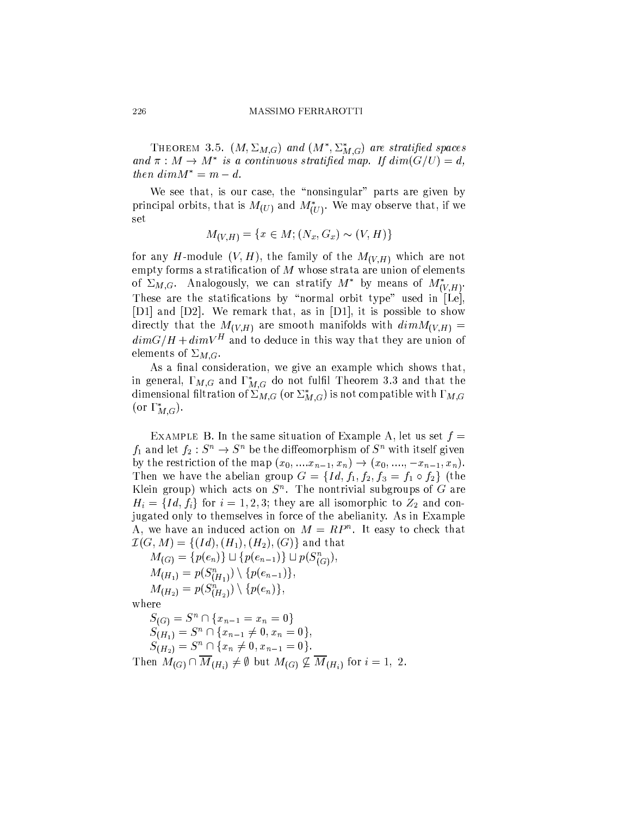THEOREM 3.5.  $(M, \Sigma_{M,G})$  and  $(M^*, \Sigma^*_{M,G})$  are stratified spaces and  $\pi : M \to M^*$  is a continuous stratified map. If  $dim(G/U) = d$ , then  $dim M^* = m - d$ .

We see that, is our case, the "nonsingular" parts are given by principal orbits, that is  $M_{(U)}$  and  $M^*_{(U)}$ . We may observe that, if we set

$$
M_{(V,H)} = \{ x \in M; (N_x, G_x) \sim (V, H) \}
$$

for any H-module  $(V, H)$ , the family of the  $M_{(V, H)}$  which are not empty forms a stratification of  $M$  whose strata are union of elements of  $\Sigma_{M,G}$ . Analogously, we can stratify  $M^*$  by means of  $M^*_{(V,H)}$ . These are the statifications by "normal orbit type" used in [Le], [D1] and [D2]. We remark that, as in [D1], it is possible to show directly that the  $M_{(V,H)}$  are smooth manifolds with  $dim M_{(V,H)} =$  $dim G/H + dim V^H$  and to deduce in this way that they are union of elements of  $\Sigma_{M,G}$ .

As a final consideration, we give an example which shows that, in general,  $\Gamma_{M,G}$  and  $\Gamma_{M,G}^*$  do not fulfil Theorem 3.3 and that the dimensional filtration of  $\sum_{M,G}$  (or  $\sum_{M,G}^*$ ) is not compatible with  $\Gamma_{M,G}$ (or  $\Gamma_{M,G}^*$ ).

EXAMPLE B. In the same situation of Example A, let us set  $f =$  $f_1$  and let  $f_2: S^n \to S^n$  be the diffeomorphism of  $S^n$  with itself given by the restriction of the map  $(x_0, ..., x_{n-1}, x_n) \to (x_0, ..., -x_{n-1}, x_n)$ . Then we have the abelian group  $G = \{Id, f_1, f_2, f_3 = f_1 \circ f_2\}$  (the Klein group) which acts on  $S<sup>n</sup>$ . The nontrivial subgroups of  $G$  are  $H_i = \{Id, f_i\}$  for  $i = 1, 2, 3$ ; they are all isomorphic to  $Z_2$  and conjugated only to themselves in force of the abelianity. As in Example A, we have an induced action on  $M = RP<sup>n</sup>$ . It easy to check that  $\mathcal{I}(G,M) = \{ (Id), (H_1), (H_2), (G) \}$  and that

 $M_{(G)} = \{p(e_n)\} \sqcup \{p(e_{n-1})\} \sqcup p(S_{(G)}^n),$  $M_{(H_1)} = p(S_{(H_1)}^n) \setminus \{p(e_{n-1})\},\$  $M_{(H_2)} = p(S_{(H_2)}^n) \setminus \{p(e_n)\},\$ 

where

 $S_{(G)} = S^n \cap \{x_{n-1} = x_n = 0\}$  $S_{(H_1)} = S^n \cap \{x_{n-1} \neq 0, x_n = 0\},\$  $S_{(H_2)}^{\qquad \qquad r} = S^n \cap \{x_n \neq 0, x_{n-1} = 0\}.$ Then  $M_{(G)} \cap \overline{M}_{(H_i)} \neq \emptyset$  but  $M_{(G)} \nsubseteq \overline{M}_{(H_i)}$  for  $i = 1, 2$ .

226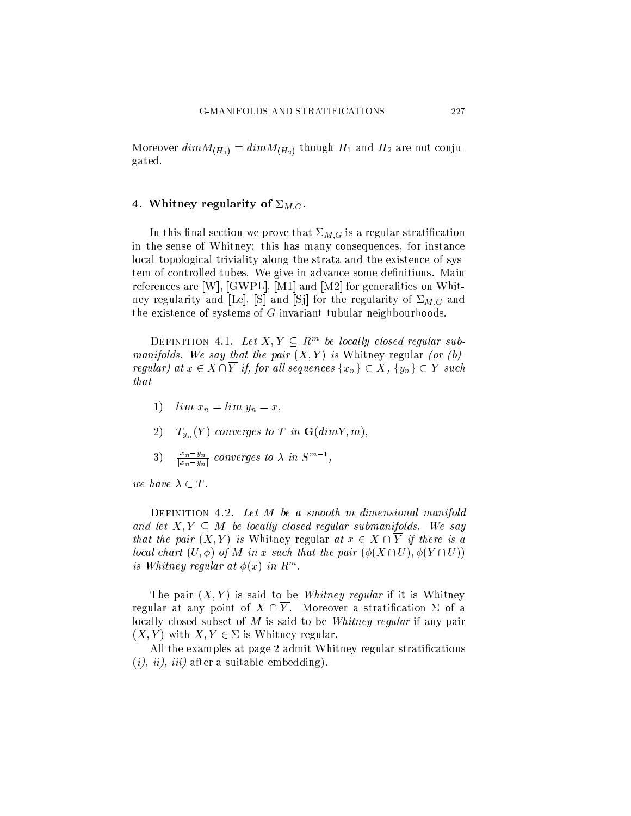Moreover  $dim M_{(H_1)} = dim M_{(H_2)}$  though  $H_1$  and  $H_2$  are not conjugated.

## 4. Whitney regularity of  $\Sigma_{M,G}$ .

In this final section we prove that  $\Sigma_{M,G}$  is a regular stratification in the sense of Whitney: this has many consequences, for instance local topological triviality along the strata and the existence of system of controlled tubes. We give in advance some definitions. Main references are [W], [GWPL], [M1] and [M2] for generalities on Whitney regularity and [Le], [S] and [Sj] for the regularity of  $\Sigma_{M,G}$  and the existence of systems of  $G$ -invariant tubular neighbourhoods.

DEFINITION 4.1. Let  $X, Y \subseteq R^m$  be locally closed regular submanifolds. We say that the pair  $(X, Y)$  is Whitney regular (or (b)regular) at  $x \in X \cap \overline{Y}$  if, for all sequences  $\{x_n\} \subset X$ ,  $\{y_n\} \subset Y$  such that

- 1)  $\lim x_n = \lim y_n = x$ ,
- 2)  $T_{y_n}(Y)$  converges to T in  $\mathbf{G}(dim Y, m)$ ,
- 3)  $\frac{x_n y_n}{|x_n y_n|}$  converges to  $\lambda$  in  $S^{m-1}$ ,

we have  $\lambda \subset T$ .

DEFINITION 4.2. Let  $M$  be a smooth m-dimensional manifold and let  $X, Y \subseteq M$  be locally closed regular submanifolds. We say that the pair  $(X, Y)$  is Whitney regular at  $x \in X \cap \overline{Y}$  if there is a local chart  $(U, \phi)$  of M in x such that the pair  $(\phi(X \cap U), \phi(Y \cap U))$ is Whitney regular at  $\phi(x)$  in  $R^m$ .

The pair  $(X, Y)$  is said to be *Whitney regular* if it is Whitney regular at any point of  $X \cap \overline{Y}$ . Moreover a stratification  $\Sigma$  of a locally closed subset of  $M$  is said to be Whitney regular if any pair  $(X, Y)$  with  $X, Y \in \Sigma$  is Whitney regular.

All the examples at page 2 admit Whitney regular stratifications  $(i), ii), iii)$  after a suitable embedding).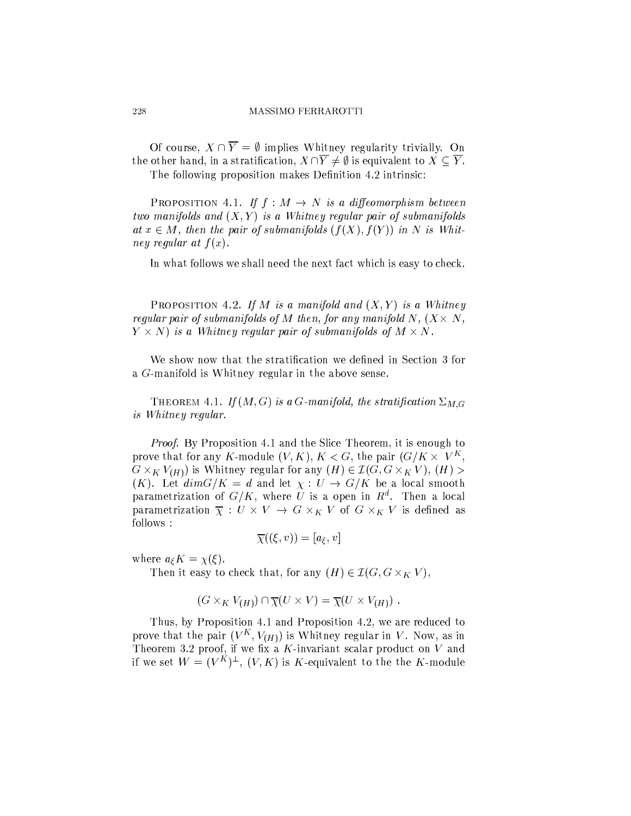Of course,  $X \cap \overline{Y} = \emptyset$  implies Whitney regularity trivially. On the other hand, in a stratification,  $X \cap \overline{Y} \neq \emptyset$  is equivalent to  $X \subseteq \overline{Y}$ .

The following proposition makes Definition 4.2 intrinsic:

**PROPOSITION** 4.1. If  $f : M \rightarrow N$  is a diffeomorphism between two manifolds and  $(X, Y)$  is a Whitney regular pair of submanifolds at  $x \in M$ , then the pair of submanifolds  $(f(X), f(Y))$  in N is Whitney regular at  $f(x)$ .

In what follows we shall need the next fact which is easy to check.

**PROPOSITION** 4.2. If M is a manifold and  $(X, Y)$  is a Whitney regular pair of submanifolds of M then, for any manifold N,  $(X \times N$ ,  $Y \times N$  is a Whitney regular pair of submanifolds of  $M \times N$ .

We show now that the stratification we defined in Section 3 for a  $G$ -manifold is Whitney regular in the above sense.

THEOREM 4.1. If  $(M, G)$  is a G-manifold, the stratification  $\Sigma_{M, G}$ is Whitney regular.

*Proof.* By Proposition 4.1 and the Slice Theorem, it is enough to prove that for any K-module  $(V, K)$ ,  $K < G$ , the pair  $(G/K \times V^K)$ ,  $G \times_K V_{(H)}$  is Whitney regular for any  $(H) \in \mathcal{I}(G, G \times_K V), (H)$  $(K)$ . Let  $\dim G/K = d$  and let  $\chi : U \to G/K$  be a local smooth parametrization of  $G/K$ , where U is a open in  $R^d$ . Then a local parametrization  $\overline{\chi}: U \times V \to G \times_K V$  of  $G \times_K V$  is defined as follows:

$$
\overline{\chi}((\xi,v))=[a_{\xi},v]
$$

where  $a_{\xi}K = \chi(\xi)$ .

Then it easy to check that, for any  $(H) \in \mathcal{I}(G, G \times_K V)$ ,

$$
(G \times_K V_{(H)}) \cap \overline{\chi}(U \times V) = \overline{\chi}(U \times V_{(H)}) .
$$

Thus, by Proposition 4.1 and Proposition 4.2, we are reduced to prove that the pair  $(V^K, V_H)$  is Whitney regular in V. Now, as in Theorem 3.2 proof, if we fix a  $K$ -invariant scalar product on  $V$  and if we set  $W = (V^K)^{\perp}, (V, K)$  is K-equivalent to the the K-module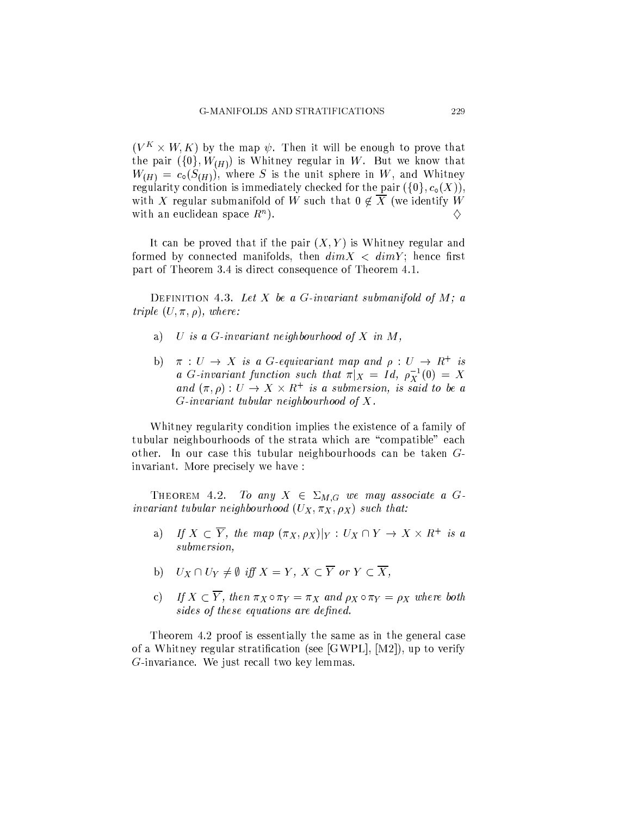$(V^K \times W, K)$  by the map  $\psi$ . Then it will be enough to prove that the pair  $({0}, W_{(H)})$  is Whitney regular in W. But we know that  $W_{(H)} = c_{\circ}(S_{(H)})$ , where S is the unit sphere in W, and Whitney regularity condition is immediately checked for the pair  $({0}, c_0(X))$ . with X regular submanifold of W such that  $0 \notin \overline{X}$  (we identify W with an euclidean space  $R^n$ ). ♦

It can be proved that if the pair  $(X, Y)$  is Whitney regular and formed by connected manifolds, then  $dim X < dim Y$ ; hence first part of Theorem 3.4 is direct consequence of Theorem 4.1.

DEFINITION 4.3. Let X be a G-invariant submanifold of M; a triple  $(U, \pi, \rho)$ , where:

- U is a G-invariant neighbourhood of X in M, a)
- $\pi : U \to X$  is a G-equivariant map and  $\rho : U \to R^+$  is  $b)$ a G-invariant function such that  $\pi|_X = Id$ ,  $\rho_X^{-1}(0) = X$ and  $(\pi, \rho): U \to X \times R^+$  is a submersion, is said to be a  $G$ -invariant tubular neighbourhood of X.

Whitney regularity condition implies the existence of a family of tubular neighbourhoods of the strata which are "compatible" each other. In our case this tubular neighbourhoods can be taken  $G$ invariant. More precisely we have:

THEOREM 4.2. To any  $X \in \Sigma_{M,G}$  we may associate a Ginvariant tubular neighbourhood  $(U_X, \pi_X, \rho_X)$  such that:

- a) If  $X \subset \overline{Y}$ , the map  $(\pi_X, \rho_X)|_Y : U_X \cap Y \to X \times R^+$  is a submersion.
- b)  $U_X \cap U_Y \neq \emptyset$  iff  $X = Y$ ,  $X \subset \overline{Y}$  or  $Y \subset \overline{X}$ ,
- c) If  $X \subset \overline{Y}$ , then  $\pi_X \circ \pi_Y = \pi_X$  and  $\rho_X \circ \pi_Y = \rho_X$  where both sides of these equations are defined.

Theorem 4.2 proof is essentially the same as in the general case of a Whitney regular stratification (see [GWPL],  $[M2]$ ), up to verify  $G$ -invariance. We just recall two key lemmas.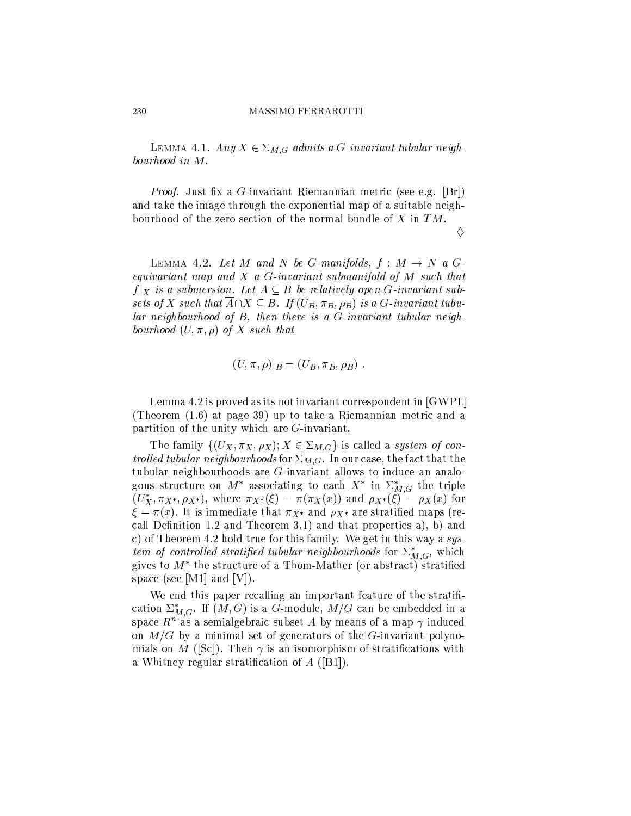LEMMA 4.1. Any  $X \in \Sigma_{M,G}$  admits a G-invariant tubular neighbourhood in M.

*Proof.* Just fix a G-invariant Riemannian metric (see e.g. [Br]) and take the image through the exponential map of a suitable neighbourhood of the zero section of the normal bundle of  $X$  in  $TM$ .

♦

LEMMA 4.2. Let M and N be G-manifolds,  $f : M \rightarrow N$  a Gequivariant map and  $X$  a  $G$ -invariant submanifold of  $M$  such that  $f|_X$  is a submersion. Let  $A \subseteq B$  be relatively open G-invariant subsets of X such that  $\overline{A} \cap X \subseteq B$ . If  $(U_B, \pi_B, \rho_B)$  is a G-invariant tubular neighbourhood of  $B$ , then there is a  $G$ -invariant tubular neighbourhood  $(U, \pi, \rho)$  of X such that

$$
(U, \pi, \rho)|_B = (U_B, \pi_B, \rho_B) .
$$

Lemma 4.2 is proved as its not invariant correspondent in  $[GWPL]$ (Theorem  $(1.6)$  at page 39) up to take a Riemannian metric and a partition of the unity which are  $G$ -invariant.

The family  $\{(U_X, \pi_X, \rho_X); X \in \Sigma_{M,G}\}\$ is called a system of controlled tubular neighbourhoods for  $\Sigma_{M,G}$ . In our case, the fact that the tubular neighbourhoods are  $G$ -invariant allows to induce an analogous structure on  $M^*$  associating to each  $X^*$  in  $\Sigma_{M,G}^*$  the triple  $(U_X^*, \pi_{X^*}, \rho_{X^*}),$  where  $\pi_{X^*}(\xi) = \pi(\pi_X(x))$  and  $\rho_{X^*}(\xi) = \rho_X(x)$  for  $\xi = \pi(x)$ . It is immediate that  $\pi_{X^*}$  and  $\rho_{X^*}$  are stratified maps (recall Definition 1.2 and Theorem 3.1) and that properties a), b) and c) of Theorem 4.2 hold true for this family. We get in this way a  $sys$ tem of controlled stratified tubular neighbourhoods for  $\sum_{M,G}^*$ , which gives to  $M^*$  the structure of a Thom-Mather (or abstract) stratified space (see [M1] and [V]).

We end this paper recalling an important feature of the stratification  $\Sigma_{M,G}^*$ . If  $(M,G)$  is a G-module,  $M/G$  can be embedded in a space  $R^n$  as a semialgebraic subset A by means of a map  $\gamma$  induced on  $M/G$  by a minimal set of generators of the G-invariant polynomials on M ([Sc]). Then  $\gamma$  is an isomorphism of stratifications with a Whitney regular stratification of  $A$  ([B1]).

230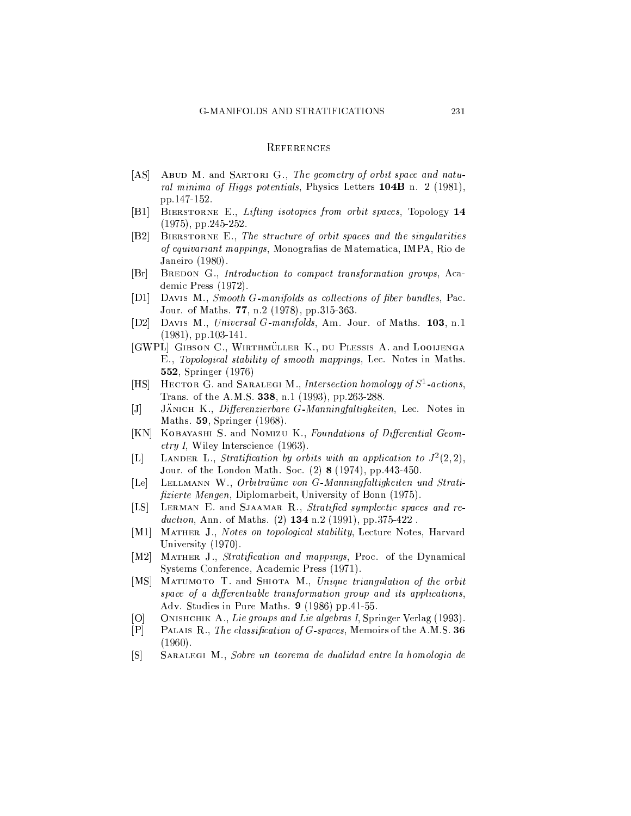### **REFERENCES**

- ABUD M. and SARTORI G., The geometry of orbit space and natu- $[AS]$ ral minima of Higgs potentials, Physics Letters 104B n. 2 (1981), pp.147-152.
- BIERSTORNE E., Lifting isotopies from orbit spaces, Topology 14  $|B1|$  $(1975)$ , pp. 245-252.
- $|B2|$ BIERSTORNE E., The structure of orbit spaces and the singularities of equivariant mappings, Monografias de Matematica, IMPA, Rio de Janeiro (1980).
- $[Br]$ BREDON G., Introduction to compact transformation groups, Academic Press (1972).
- [D1] DAVIS M., Smooth G-manifolds as collections of fiber bundles, Pac. Jour. of Maths. 77, n.2 (1978), pp.315-363.
- DAVIS M., Universal G-manifolds, Am. Jour. of Maths. 103, n.1  $[D2]$  $(1981)$ , pp. 103-141.
- [GWPL] GIBSON C., WIRTHMÜLLER K., DU PLESSIS A. and LOOIJENGA E., Topological stability of smooth mappings, Lec. Notes in Maths. **552, Springer** (1976)
- HECTOR G. and SARALEGI M., Intersection homology of  $S^1$ -actions,  $[HS]$ Trans. of the A.M.S. 338, n.1 (1993), pp.263-288.
- JANICH K. Differenzierbare G-Manningfaltigkeiten, Lec. Notes in  $[J]$ Maths. 59, Springer (1968).
- [KN] KOBAYASHI S. and NOMIZU K., Foundations of Differential Geom*etry I*, Wiley Interscience (1963).
- LANDER L., Stratification by orbits with an application to  $J^2(2,2)$ ,  $[{\rm L}]$ Jour. of the London Math. Soc. (2) 8 (1974), pp. 443-450.
- LELLMANN W., Orbitraüme von G Manningfaltigkeiten und Strati- $\lceil$ Le $\rceil$ *fizierte Mengen*, Diplomarbeit, University of Bonn (1975).
- $[LS]$ LERMAN E. and SJAAMAR R., Stratified symplectic spaces and reduction, Ann. of Maths.  $(2)$  134 n.2  $(1991)$ , pp.375-422.
- $[M1]$ MATHER J., Notes on topological stability, Lecture Notes, Harvard University (1970).
- MATHER J., Stratification and mappings, Proc. of the Dynamical  $[M2]$ Systems Conference, Academic Press (1971).
- MATUMOTO T. and SHIOTA M., Unique triangulation of the orbit  $[MS]$ space of a differentiable transformation group and its applications, Adv. Studies in Pure Maths. 9 (1986) pp.41-55.
- $[O]$ ONISHCHIK A., Lie groups and Lie algebras I, Springer Verlag (1993).
- $[P]$ PALAIS R., The classification of G-spaces, Memoirs of the A.M.S. 36  $(1960).$
- $\lceil S \rceil$ SARALEGI M., Sobre un teorema de dualidad entre la homologia de